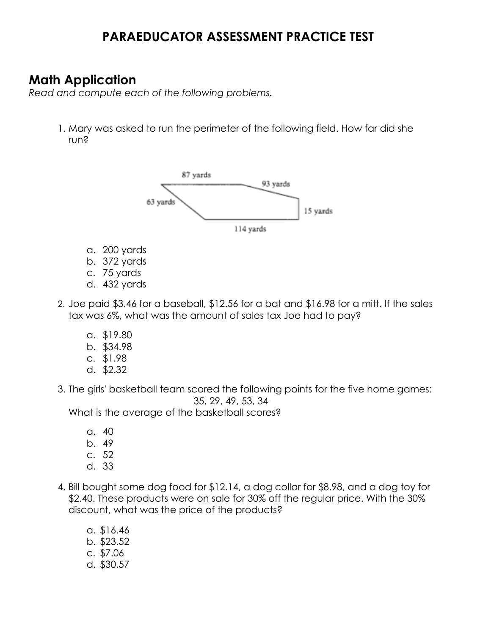# **PARAEDUCATOR ASSESSMENT PRACTICE TEST**

# **Math Application**

 *Read and compute each of the following problems.* 

 1. Mary was asked to run the perimeter of the following field. How far did she run?



- a. 200 yards
- b. 372 yards
- c. 75 yards
- d. 432 yards
- 2. Joe paid \$3.46 for a baseball, \$12.56 for a bat and \$16.98 for a mitt. If the sales tax was 6%, what was the amount of sales tax Joe had to pay?
	- a. \$19.80
	- b. \$34.98
	- c. \$1.98
	- d. \$2.32
- 3. The girls' basketball team scored the following points for the five home games: 35, 29, 49, 53, 34

What is the average of the basketball scores?

- a. 40
- b. 49
- c. 52
- d. 33
- 4. Bill bought some dog food for \$12.14, a dog collar for \$8.98, and a dog toy for \$2.40. These products were on sale for 30% off the regular price. With the 30% discount, what was the price of the products?
	- a. \$16.46 b. \$23.52 c. \$7.06 d. \$30.57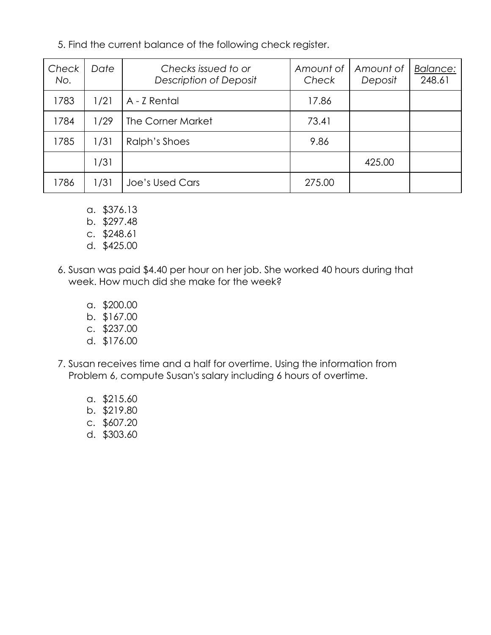5. Find the current balance of the following check register.

| Check<br>No. | Date | Checks issued to or<br>Description of Deposit | Amount of<br>Check | Amount of<br>Deposit | Balance:<br>248.61 |
|--------------|------|-----------------------------------------------|--------------------|----------------------|--------------------|
| 1783         | 1/21 | A - Z Rental                                  | 17.86              |                      |                    |
| 1784         | 1/29 | The Corner Market                             | 73.41              |                      |                    |
| 1785         | 1/31 | Ralph's Shoes                                 | 9.86               |                      |                    |
|              | 1/31 |                                               |                    | 425.00               |                    |
| 1786         | 1/31 | Joe's Used Cars                               | 275.00             |                      |                    |

- a. \$376.13
- b. \$297.48
- c. \$248.61
- d. \$425.00
- 6. Susan was paid \$4.40 per hour on her job. She worked 40 hours during that week. How much did she make for the week?
	- a. \$200.00
	- b. \$167.00
	- c. \$237.00
	- d. \$176.00
- 7. Susan receives time and a half for overtime. Using the information from Problem 6, compute Susan's salary including 6 hours of overtime.
	- a. \$215.60
	- b. \$219.80
	- c. \$607.20
	- d. \$303.60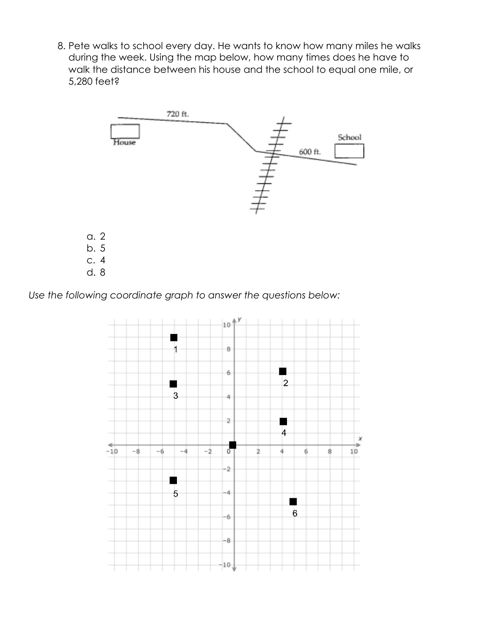8. Pete walks to school every day. He wants to know how many miles he walks during the week. Using the map below, how many times does he have to walk the distance between his house and the school to equal one mile, or 5,280 feet?



 *Use the following coordinate graph to answer the questions below:* 

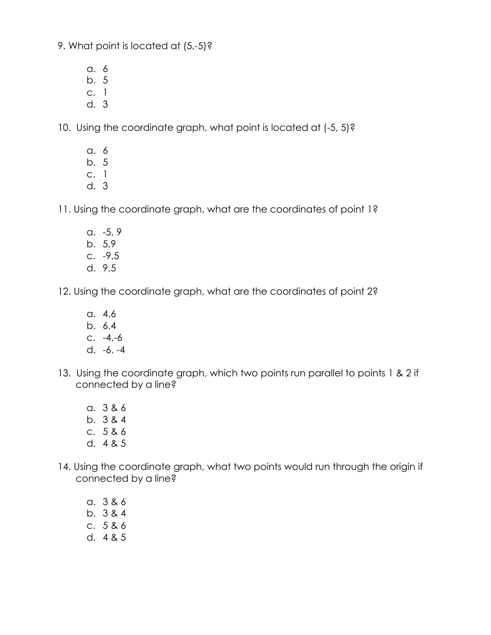9. What point is located at (5,-5)?

- a. 6
- b. 5
- c. 1
- d. 3

10. Using the coordinate graph, what point is located at (-5, 5)?

- a. 6
- b. 5
- c. 1
- d. 3

11. Using the coordinate graph, what are the coordinates of point 1?

- a. -5, 9 b. 5,9 c. -9,5
- d. 9,5

12. Using the coordinate graph, what are the coordinates of point 2?

- a. 4,6
- b. 6,4
- c. -4,-6
- d. -6, -4
- 13. Using the coordinate graph, which two points run parallel to points 1 & 2 if connected by a line?
	- a. 3 & 6
	- b. 3 & 4
	- c. 5 & 6
	- d. 4 & 5
- 14. Using the coordinate graph, what two points would run through the origin if connected by a line?
	- a. 3 & 6 b. 3 & 4
	- c. 5 & 6
	- d. 4 & 5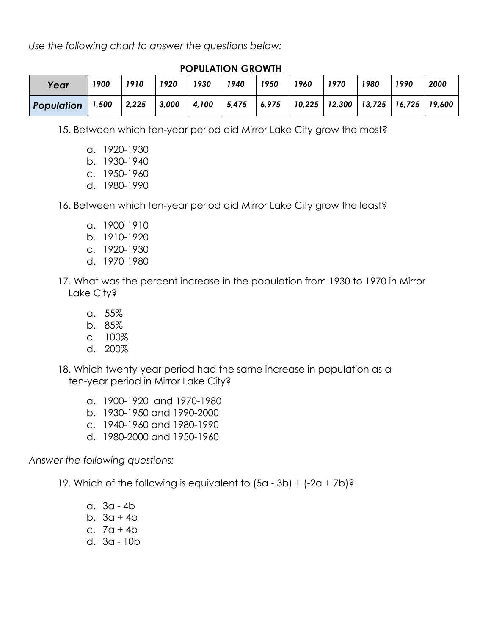*Use the following chart to answer the questions below:* 

| 1910<br>1900<br>Year         | 1920  | 1930  | 1940  | 1950  | 1960 | 1970 | 1980                                                                       | 1990 | 2000 |
|------------------------------|-------|-------|-------|-------|------|------|----------------------------------------------------------------------------|------|------|
|                              |       |       |       |       |      |      |                                                                            |      |      |
| 2,225<br>1,500<br>Population | 3,000 | 4,100 | 5,475 | 6,975 |      |      | $\vert$ 10,225 $\vert$ 12,300 $\vert$ 13,725 $\vert$ 16,725 $\vert$ 19,600 |      |      |

 **POPULATION GROWTH** 

15. Between which ten-year period did Mirror Lake City grow the most?

- a. 1920-1930
- b. 1930-1940
- c. 1950-1960
- d. 1980-1990

16. Between which ten-year period did Mirror Lake City grow the least?

- a. 1900-1910
- b. 1910-1920
- c. 1920-1930
- d. 1970-1980
- 17. What was the percent increase in the population from 1930 to 1970 in Mirror Lake City?
	- a. 55%
	- b. 85%
	- c. 100%
	- d. 200%
- 18. Which twenty-year period had the same increase in population as a ten-year period in Mirror Lake City?
	- a. 1900-1920 and 1970-1980
	- b. 1930-1950 and 1990-2000
	- c. 1940-1960 and 1980-1990
	- d. 1980-2000 and 1950-1960

 *Answer the following questions:* 

19. Which of the following is equivalent to (5a - 3b) + (-2a + 7b)?

- a. 3a 4b
- b. 3a + 4b
- c.  $7a + 4b$
- d. 3a 10b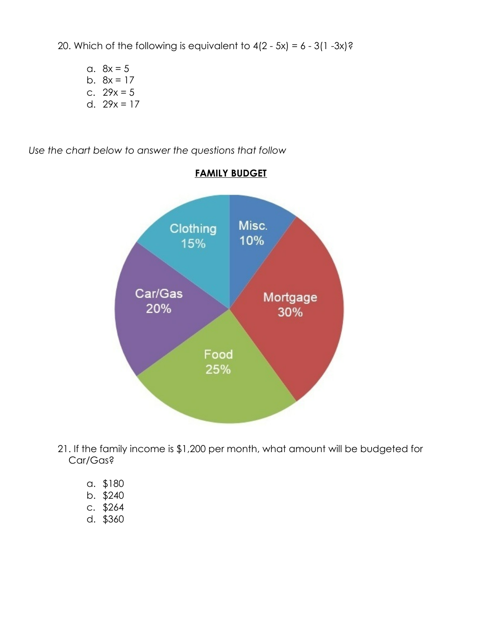20. Which of the following is equivalent to  $4(2 - 5x) = 6 - 3(1 - 3x)$ ?

a.  $8x = 5$ b.  $8x = 17$ c.  $29x = 5$ d.  $29x = 17$ 

*Use the chart below to answer the questions that follow*



### **FAMILY BUDGET**

- 21. If the family income is \$1,200 per month, what amount will be budgeted for Car/Gas?
	- a. \$180
	- b. \$240
	- c. \$264
	- d. \$360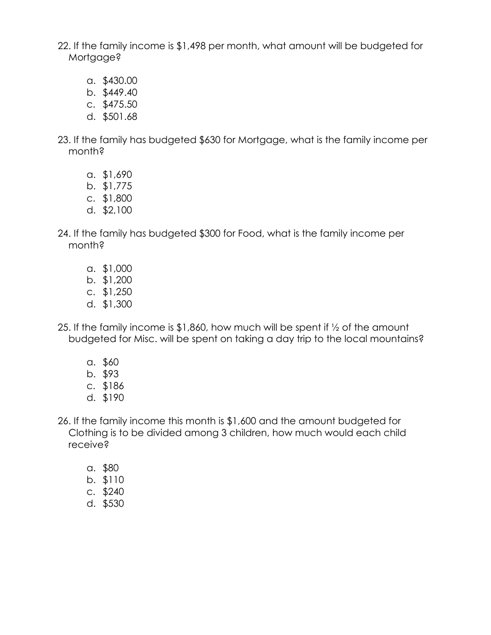22. If the family income is \$1,498 per month, what amount will be budgeted for Mortgage?

- a. \$430.00
- b. \$449.40
- c. \$475.50
- d. \$501.68
- 23. If the family has budgeted \$630 for Mortgage, what is the family income per month?
	- a. \$1,690
	- b. \$1,775
	- c. \$1,800
	- d. \$2,100
- 24. If the family has budgeted \$300 for Food, what is the family income per month?
	- a. \$1,000
	- b. \$1,200
	- c. \$1,250
	- d. \$1,300
- 25. If the family income is \$1,860, how much will be spent if ½ of the amount budgeted for Misc. will be spent on taking a day trip to the local mountains?
	- a. \$60
	- b. \$93
	- c. \$186
	- d. \$190
- 26. If the family income this month is \$1,600 and the amount budgeted for Clothing is to be divided among 3 children, how much would each child receive?
	- a. \$80
	- b. \$110
	- c. \$240
	- d. \$530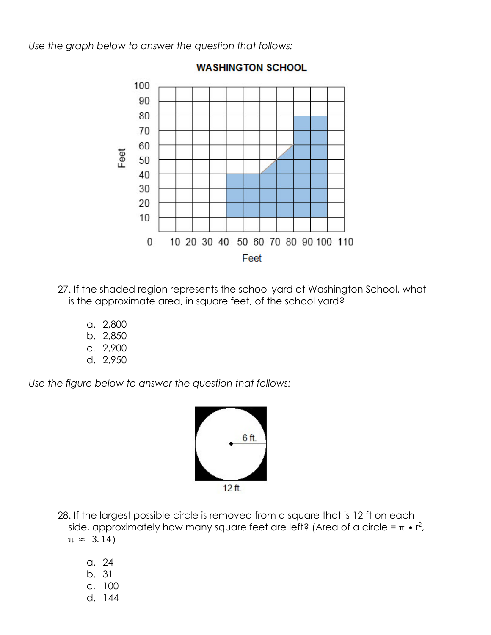*Use the graph below to answer the question that follows:* 



### **WASHINGTON SCHOOL**

- 27. If the shaded region represents the school yard at Washington School, what is the approximate area, in square feet, of the school yard?
	- a. 2,800
	- b. 2,850
	- c. 2,900
	- d. 2,950

 *Use the figure below to answer the question that follows:* 



 28. If the largest possible circle is removed from a square that is 12 ft on each side, approximately how many square feet are left? (Area of a circle =  $\pi \cdot r^2$ ,  $\pi \approx 3.14$ 

- a. 24 b. 31 c. 100
- d. 144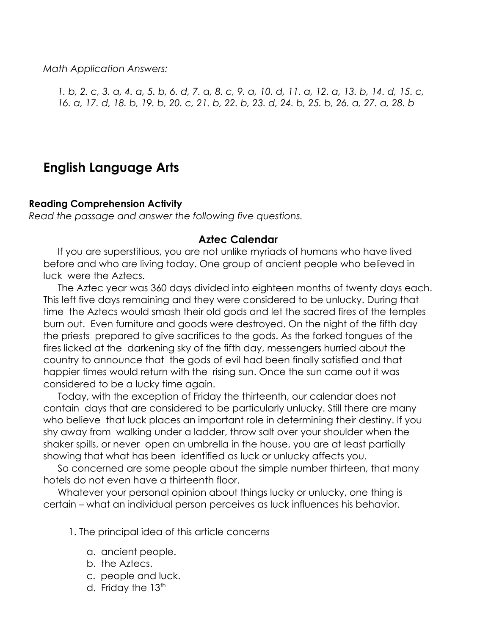*Math Application Answers:*

*1. b, 2. c, 3. a, 4. a, 5. b, 6. d, 7. a, 8. c, 9. a, 10. d, 11. a, 12. a, 13. b, 14. d, 15. c, 16. a, 17. d, 18. b, 19. b, 20. c, 21. b, 22. b, 23. d, 24. b, 25. b, 26. a, 27. a, 28. b*

## **English Language Arts**

#### **Reading Comprehension Activity**

*Read the passage and answer the following five questions.*

#### **Aztec Calendar**

If you are superstitious, you are not unlike myriads of humans who have lived before and who are living today. One group of ancient people who believed in luck were the Aztecs.

The Aztec year was 360 days divided into eighteen months of twenty days each. This left five days remaining and they were considered to be unlucky. During that time the Aztecs would smash their old gods and let the sacred fires of the temples burn out. Even furniture and goods were destroyed. On the night of the fifth day the priests prepared to give sacrifices to the gods. As the forked tongues of the fires licked at the darkening sky of the fifth day, messengers hurried about the country to announce that the gods of evil had been finally satisfied and that happier times would return with the rising sun. Once the sun came out it was considered to be a lucky time again.

Today, with the exception of Friday the thirteenth, our calendar does not contain days that are considered to be particularly unlucky. Still there are many who believe that luck places an important role in determining their destiny. If you shy away from walking under a ladder, throw salt over your shoulder when the shaker spills, or never open an umbrella in the house, you are at least partially showing that what has been identified as luck or unlucky affects you.

So concerned are some people about the simple number thirteen, that many hotels do not even have a thirteenth floor.

Whatever your personal opinion about things lucky or unlucky, one thing is certain – what an individual person perceives as luck influences his behavior.

- 1. The principal idea of this article concerns
	- a. ancient people.
	- b. the Aztecs.
	- c. people and luck.
	- d. Friday the  $13<sup>th</sup>$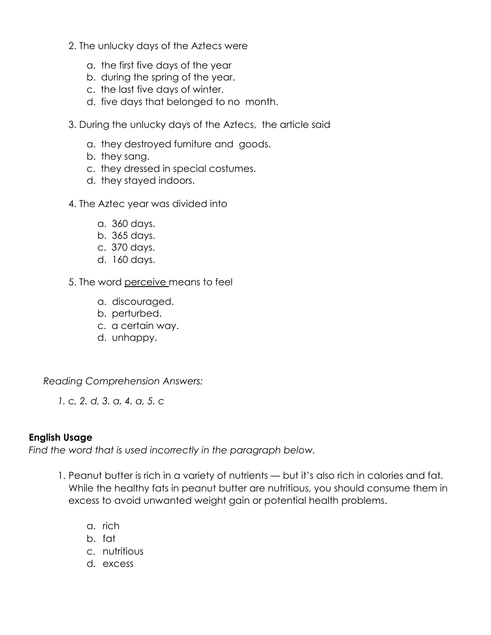- 2. The unlucky days of the Aztecs were
	- a. the first five days of the year
	- b. during the spring of the year.
	- c. the last five days of winter.
	- d. five days that belonged to no month.
- 3. During the unlucky days of the Aztecs, the article said
	- a. they destroyed furniture and goods.
	- b. they sang.
	- c. they dressed in special costumes.
	- d. they stayed indoors.
- 4. The Aztec year was divided into
	- a. 360 days.
	- b. 365 days.
	- c. 370 days.
	- d. 160 days.
- 5. The word perceive means to feel
	- a. discouraged.
	- b. perturbed.
	- c. a certain way.
	- d. unhappy.

*Reading Comprehension Answers:*

*1. c, 2. d, 3. a, 4. a, 5. c*

#### **English Usage**

*Find the word that is used incorrectly in the paragraph below.*

- 1. Peanut butter is rich in a variety of nutrients but it's also rich in [calories](https://www.webmd.com/diet/rm-quiz-truth-calories) and fat. While the healthy fats in peanut butter are nutritious, you should consume them in excess to avoid unwanted weight gain or potential health problems.
	- a. rich
	- b. fat
	- c. nutritious
	- d. excess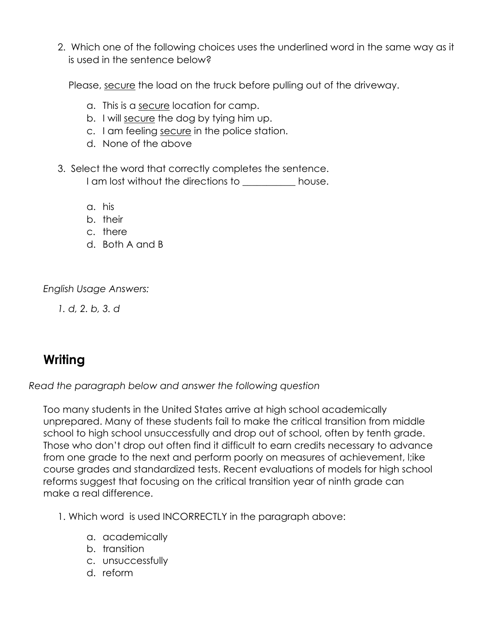2. Which one of the following choices uses the underlined word in the same way as it is used in the sentence below?

Please, secure the load on the truck before pulling out of the driveway.

- a. This is a secure location for camp.
- b. I will secure the dog by tying him up.
- c. I am feeling secure in the police station.
- d. None of the above
- 3. Select the word that correctly completes the sentence. I am lost without the directions to **Noting the house**.
	- a. his
	- b. their
	- c. there
	- d. Both A and B

*English Usage Answers:*

*1. d, 2. b, 3. d*

# **Writing**

*Read the paragraph below and answer the following question*

Too many students in the United States arrive at high school academically unprepared. Many of these students fail to make the critical transition from middle school to high school unsuccessfully and drop out of school, often by tenth grade. Those who don't drop out often find it difficult to earn credits necessary to advance from one grade to the next and perform poorly on measures of achievement, l;ike course grades and standardized tests. Recent evaluations of models for high school reforms suggest that focusing on the critical transition year of ninth grade can make a real difference.

- 1. Which word is used INCORRECTLY in the paragraph above:
	- a. academically
	- b. transition
	- c. unsuccessfully
	- d. reform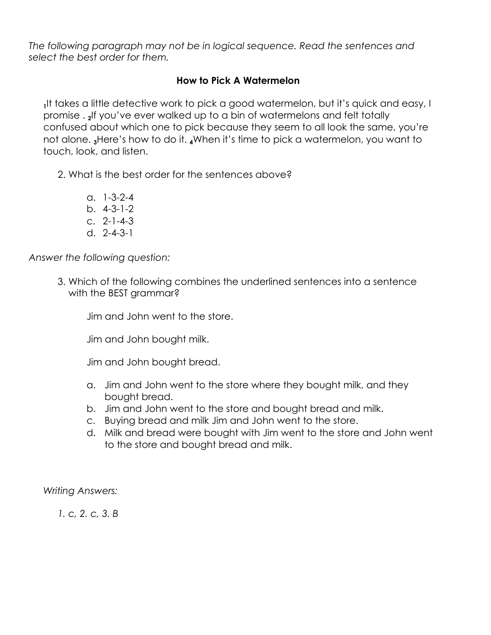*The following paragraph may not be in logical sequence. Read the sentences and select the best order for them.*

### **How to Pick A Watermelon**

**1** It takes a little detective work to pick a good watermelon, but it's quick and easy, I promise . **<sup>2</sup>** If you've ever walked up to a bin of watermelons and felt totally confused about which one to pick because they seem to all look the same, you're not alone. **<sup>3</sup>**Here's how to do it. **<sup>4</sup>**When it's time to pick a watermelon, you want to touch, look, and listen.

2. What is the best order for the sentences above?

- a. 1-3-2-4
- b. 4-3-1-2
- c. 2-1-4-3
- d. 2-4-3-1

*Answer the following question:*

3. Which of the following combines the underlined sentences into a sentence with the BEST grammar?

Jim and John went to the store.

Jim and John bought milk.

Jim and John bought bread.

- a. Jim and John went to the store where they bought milk, and they bought bread.
- b. Jim and John went to the store and bought bread and milk.
- c. Buying bread and milk Jim and John went to the store.
- d. Milk and bread were bought with Jim went to the store and John went to the store and bought bread and milk.

*Writing Answers:*

*1. c, 2. c, 3. B*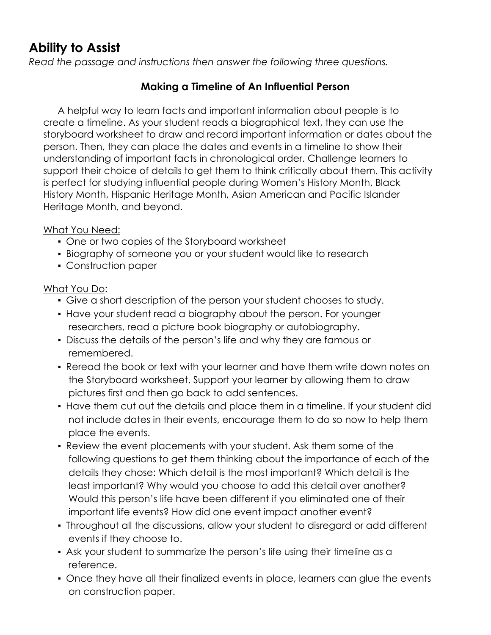# **Ability to Assist**

*Read the passage and instructions then answer the following three questions.*

## **Making a Timeline of An Influential Person**

A helpful way to learn facts and important information about people is to create a timeline. As your student reads a biographical text, they can use the storyboard worksheet to draw and record important information or dates about the person. Then, they can place the dates and events in a timeline to show their understanding of important facts in chronological order. Challenge learners to support their choice of details to get them to think critically about them. This activity is perfect for studying influential people during Women's History Month, Black History Month, Hispanic Heritage Month, Asian American and Pacific Islander Heritage Month, and beyond.

### What You Need:

- One or two copies of the Storyboard worksheet
- **Biography of someone you or your student would like to research**
- Construction paper

## What You Do:

- Give a short description of the person your student chooses to study.
- **Have your student read a biography about the person. For younger** researchers, read a picture book biography or autobiography.
- Discuss the details of the person's life and why they are famous or remembered.
- Reread the book or text with your learner and have them write down notes on the Storyboard worksheet. Support your learner by allowing them to draw pictures first and then go back to add sentences.
- Have them cut out the details and place them in a timeline. If your student did not include dates in their events, encourage them to do so now to help them place the events.
- Review the event placements with your student. Ask them some of the following questions to get them thinking about the importance of each of the details they chose: Which detail is the most important? Which detail is the least important? Why would you choose to add this detail over another? Would this person's life have been different if you eliminated one of their important life events? How did one event impact another event?
- Throughout all the discussions, allow your student to disregard or add different events if they choose to.
- Ask your student to summarize the person's life using their timeline as a reference.
- Once they have all their finalized events in place, learners can glue the events on construction paper.